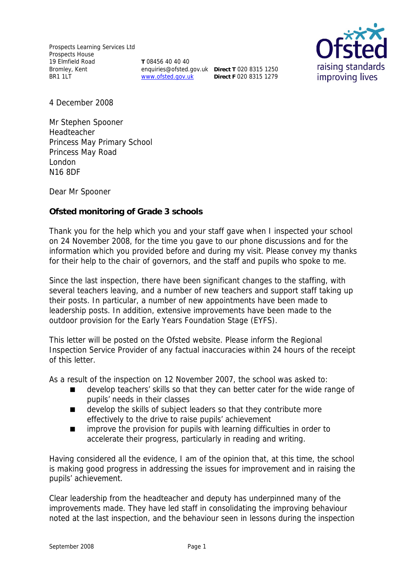**T** 08456 40 40 40 enquiries@ofsted.gov.uk **Direct T** 020 8315 1250 www.ofsted.gov.uk **Direct F** 020 8315 1279



4 December 2008

Mr Stephen Spooner Headteacher Princess May Primary School Princess May Road London N16 8DF

Dear Mr Spooner

**Ofsted monitoring of Grade 3 schools**

Thank you for the help which you and your staff gave when I inspected your school on 24 November 2008, for the time you gave to our phone discussions and for the information which you provided before and during my visit. Please convey my thanks for their help to the chair of governors, and the staff and pupils who spoke to me.

Since the last inspection, there have been significant changes to the staffing, with several teachers leaving, and a number of new teachers and support staff taking up their posts. In particular, a number of new appointments have been made to leadership posts. In addition, extensive improvements have been made to the outdoor provision for the Early Years Foundation Stage (EYFS).

This letter will be posted on the Ofsted website. Please inform the Regional Inspection Service Provider of any factual inaccuracies within 24 hours of the receipt of this letter.

As a result of the inspection on 12 November 2007, the school was asked to:

- develop teachers' skills so that they can better cater for the wide range of pupils' needs in their classes
- develop the skills of subject leaders so that they contribute more effectively to the drive to raise pupils' achievement
- **I** improve the provision for pupils with learning difficulties in order to accelerate their progress, particularly in reading and writing.

Having considered all the evidence, I am of the opinion that, at this time, the school is making good progress in addressing the issues for improvement and in raising the pupils' achievement.

Clear leadership from the headteacher and deputy has underpinned many of the improvements made. They have led staff in consolidating the improving behaviour noted at the last inspection, and the behaviour seen in lessons during the inspection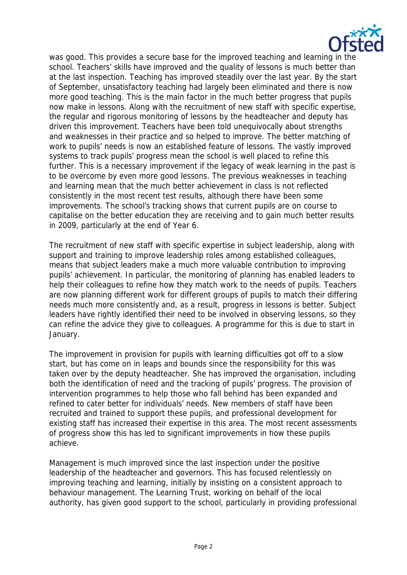

was good. This provides a secure base for the improved teaching and learning in the school. Teachers' skills have improved and the quality of lessons is much better than at the last inspection. Teaching has improved steadily over the last year. By the start of September, unsatisfactory teaching had largely been eliminated and there is now more good teaching. This is the main factor in the much better progress that pupils now make in lessons. Along with the recruitment of new staff with specific expertise, the regular and rigorous monitoring of lessons by the headteacher and deputy has driven this improvement. Teachers have been told unequivocally about strengths and weaknesses in their practice and so helped to improve. The better matching of work to pupils' needs is now an established feature of lessons. The vastly improved systems to track pupils' progress mean the school is well placed to refine this further. This is a necessary improvement if the legacy of weak learning in the past is to be overcome by even more good lessons. The previous weaknesses in teaching and learning mean that the much better achievement in class is not reflected consistently in the most recent test results, although there have been some improvements. The school's tracking shows that current pupils are on course to capitalise on the better education they are receiving and to gain much better results in 2009, particularly at the end of Year 6.

The recruitment of new staff with specific expertise in subject leadership, along with support and training to improve leadership roles among established colleagues, means that subject leaders make a much more valuable contribution to improving pupils' achievement. In particular, the monitoring of planning has enabled leaders to help their colleagues to refine how they match work to the needs of pupils. Teachers are now planning different work for different groups of pupils to match their differing needs much more consistently and, as a result, progress in lessons is better. Subject leaders have rightly identified their need to be involved in observing lessons, so they can refine the advice they give to colleagues. A programme for this is due to start in January.

The improvement in provision for pupils with learning difficulties got off to a slow start, but has come on in leaps and bounds since the responsibility for this was taken over by the deputy headteacher. She has improved the organisation, including both the identification of need and the tracking of pupils' progress. The provision of intervention programmes to help those who fall behind has been expanded and refined to cater better for individuals' needs. New members of staff have been recruited and trained to support these pupils, and professional development for existing staff has increased their expertise in this area. The most recent assessments of progress show this has led to significant improvements in how these pupils achieve.

Management is much improved since the last inspection under the positive leadership of the headteacher and governors. This has focused relentlessly on improving teaching and learning, initially by insisting on a consistent approach to behaviour management. The Learning Trust, working on behalf of the local authority, has given good support to the school, particularly in providing professional